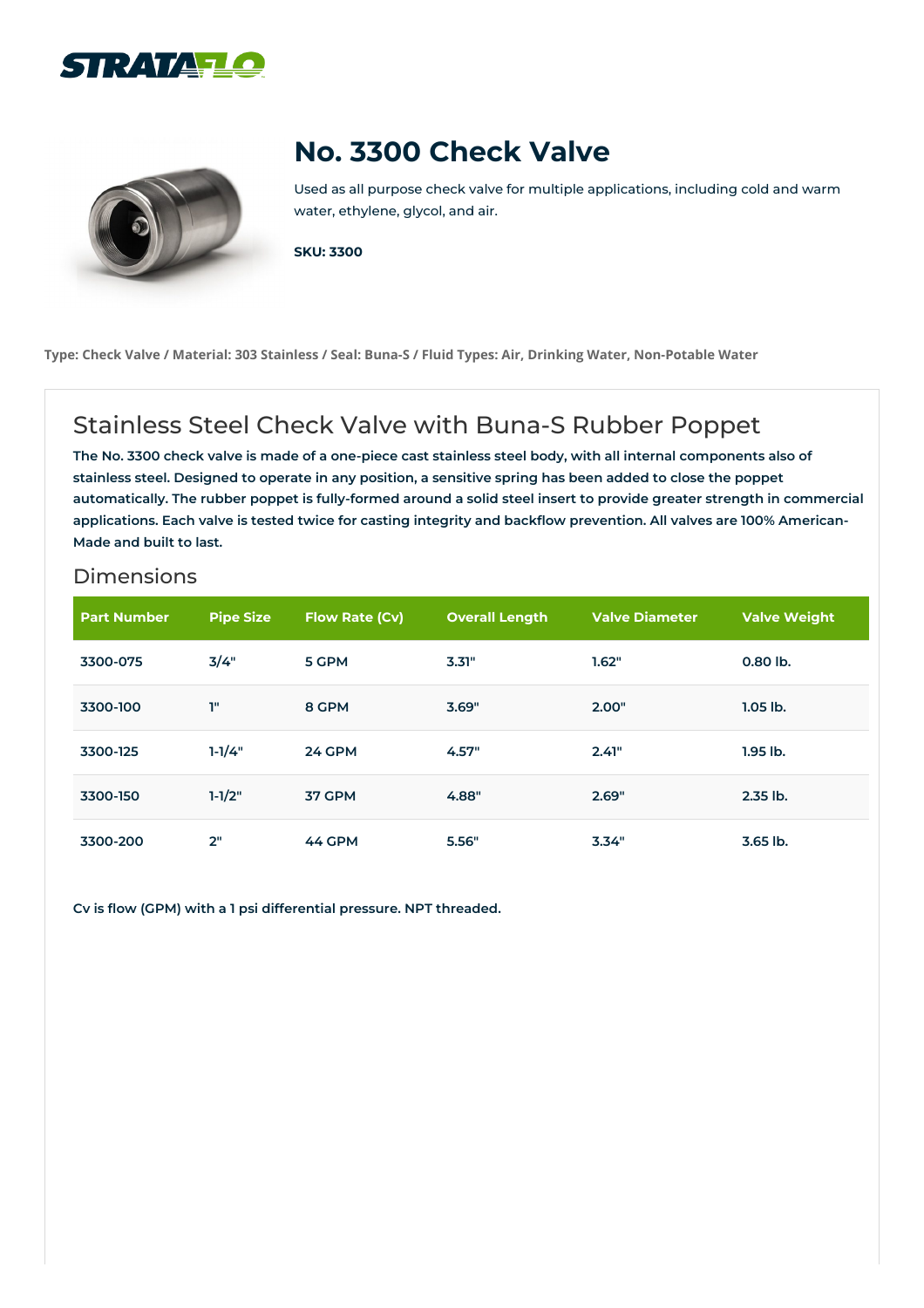



## **No. 3300 Check Valve**

Used as all purpose check valve for multiple applications, including cold and warm water, ethylene, glycol, and air.

**SKU: 3300**

Type: Check Valve / Material: 303 Stainless / Seal: Buna-S / Fluid Types: Air, Drinking Water, Non-Potable Water

## Stainless Steel Check Valve with Buna-S Rubber Poppet

The No. 3300 check valve is made of a one-piece cast stainless steel body, with all internal components also of stainless steel. Designed to operate in any position, a sensitive spring has been added to close the poppet automatically. The rubber poppet is fully-formed around a solid steel insert to provide greater strength in commercial applications. Each valve is tested twice for casting integrity and backflow prevention. All valves are 100% American-**Made and built to last.**

## **Dimensions**

| <b>Part Number</b> | <b>Pipe Size</b> | Flow Rate (Cv) | <b>Overall Length</b> | <b>Valve Diameter</b> | <b>Valve Weight</b> |
|--------------------|------------------|----------------|-----------------------|-----------------------|---------------------|
| 3300-075           | 3/4"             | 5 GPM          | 3.31"                 | 1.62"                 | 0.80 lb.            |
| 3300-100           | T"               | 8 GPM          | 3.69"                 | 2.00"                 | $1.05$ lb.          |
| 3300-125           | $1 - 1/4"$       | <b>24 GPM</b>  | 4.57"                 | 2.41"                 | $1.95$ lb.          |
| 3300-150           | $1-1/2"$         | 37 GPM         | 4.88"                 | 2.69"                 | 2.35 lb.            |
| 3300-200           | 2"               | 44 GPM         | 5.56"                 | 3.34"                 | 3.65 lb.            |

**Cv is flow (GPM) with a 1 psi differential pressure. NPT threaded.**